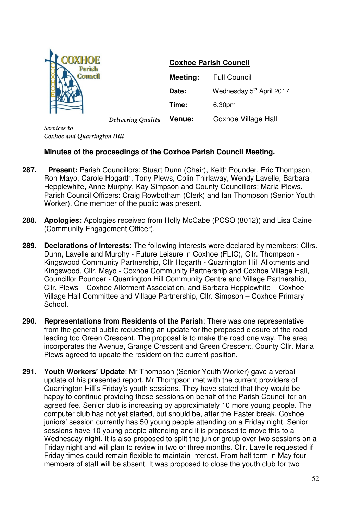

## **Coxhoe Parish Council**

|                    | Meeting:      | <b>Full Council</b>                  |
|--------------------|---------------|--------------------------------------|
|                    | Date:         | Wednesday 5 <sup>th</sup> April 2017 |
|                    | Time:         | 6.30pm                               |
| Delivering Quality | <b>Venue:</b> | Coxhoe Village Hall                  |

*Services to Coxhoe and Quarrington Hill*

## **Minutes of the proceedings of the Coxhoe Parish Council Meeting.**

- **287. Present:** Parish Councillors: Stuart Dunn (Chair), Keith Pounder, Eric Thompson, Ron Mayo, Carole Hogarth, Tony Plews, Colin Thirlaway, Wendy Lavelle, Barbara Hepplewhite, Anne Murphy, Kay Simpson and County Councillors: Maria Plews. Parish Council Officers: Craig Rowbotham (Clerk) and Ian Thompson (Senior Youth Worker). One member of the public was present.
- **288. Apologies:** Apologies received from Holly McCabe (PCSO (8012)) and Lisa Caine (Community Engagement Officer).
- **289. Declarations of interests**: The following interests were declared by members: Cllrs. Dunn, Lavelle and Murphy - Future Leisure in Coxhoe (FLIC), Cllr. Thompson - Kingswood Community Partnership, Cllr Hogarth - Quarrington Hill Allotments and Kingswood, Cllr. Mayo - Coxhoe Community Partnership and Coxhoe Village Hall, Councillor Pounder - Quarrington Hill Community Centre and Village Partnership, Cllr. Plews – Coxhoe Allotment Association, and Barbara Hepplewhite – Coxhoe Village Hall Committee and Village Partnership, Cllr. Simpson – Coxhoe Primary School.
- **290. Representations from Residents of the Parish**: There was one representative from the general public requesting an update for the proposed closure of the road leading too Green Crescent. The proposal is to make the road one way. The area incorporates the Avenue, Grange Crescent and Green Crescent. County Cllr. Maria Plews agreed to update the resident on the current position.
- **291. Youth Workers' Update**: Mr Thompson (Senior Youth Worker) gave a verbal update of his presented report. Mr Thompson met with the current providers of Quarrington Hill's Friday's youth sessions. They have stated that they would be happy to continue providing these sessions on behalf of the Parish Council for an agreed fee. Senior club is increasing by approximately 10 more young people. The computer club has not yet started, but should be, after the Easter break. Coxhoe juniors' session currently has 50 young people attending on a Friday night. Senior sessions have 10 young people attending and it is proposed to move this to a Wednesday night. It is also proposed to split the junior group over two sessions on a Friday night and will plan to review in two or three months. Cllr. Lavelle requested if Friday times could remain flexible to maintain interest. From half term in May four members of staff will be absent. It was proposed to close the youth club for two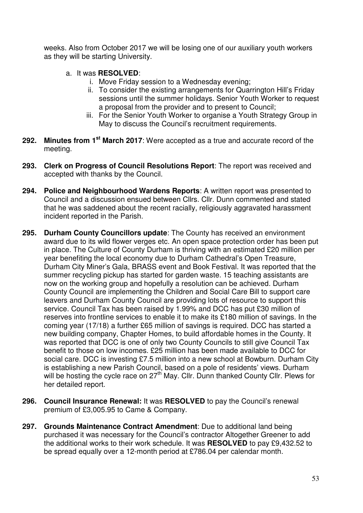weeks. Also from October 2017 we will be losing one of our auxiliary youth workers as they will be starting University.

- a. It was **RESOLVED**:
	- i. Move Friday session to a Wednesday evening;
	- ii. To consider the existing arrangements for Quarrington Hill's Friday sessions until the summer holidays. Senior Youth Worker to request a proposal from the provider and to present to Council;
	- iii. For the Senior Youth Worker to organise a Youth Strategy Group in May to discuss the Council's recruitment requirements.
- **292. Minutes from 1st March 2017**: Were accepted as a true and accurate record of the meeting.
- **293. Clerk on Progress of Council Resolutions Report**: The report was received and accepted with thanks by the Council.
- **294. Police and Neighbourhood Wardens Reports**: A written report was presented to Council and a discussion ensued between Cllrs. Cllr. Dunn commented and stated that he was saddened about the recent racially, religiously aggravated harassment incident reported in the Parish.
- **295. Durham County Councillors update**: The County has received an environment award due to its wild flower verges etc. An open space protection order has been put in place. The Culture of County Durham is thriving with an estimated £20 million per year benefiting the local economy due to Durham Cathedral's Open Treasure, Durham City Miner's Gala, BRASS event and Book Festival. It was reported that the summer recycling pickup has started for garden waste. 15 teaching assistants are now on the working group and hopefully a resolution can be achieved. Durham County Council are implementing the Children and Social Care Bill to support care leavers and Durham County Council are providing lots of resource to support this service. Council Tax has been raised by 1.99% and DCC has put £30 million of reserves into frontline services to enable it to make its £180 million of savings. In the coming year (17/18) a further £65 million of savings is required. DCC has started a new building company, Chapter Homes, to build affordable homes in the County. It was reported that DCC is one of only two County Councils to still give Council Tax benefit to those on low incomes. £25 million has been made available to DCC for social care. DCC is investing £7.5 million into a new school at Bowburn. Durham City is establishing a new Parish Council, based on a pole of residents' views. Durham will be hosting the cycle race on 27<sup>th</sup> May. Cllr. Dunn thanked County Cllr. Plews for her detailed report.
- **296. Council Insurance Renewal:** It was **RESOLVED** to pay the Council's renewal premium of £3,005.95 to Came & Company.
- **297. Grounds Maintenance Contract Amendment**: Due to additional land being purchased it was necessary for the Council's contractor Altogether Greener to add the additional works to their work schedule. It was **RESOLVED** to pay £9,432.52 to be spread equally over a 12-month period at £786.04 per calendar month.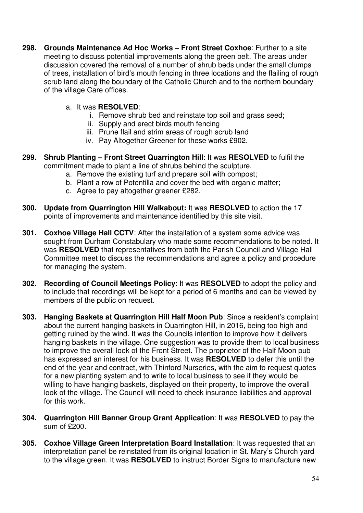- **298. Grounds Maintenance Ad Hoc Works Front Street Coxhoe**: Further to a site meeting to discuss potential improvements along the green belt. The areas under discussion covered the removal of a number of shrub beds under the small clumps of trees, installation of bird's mouth fencing in three locations and the flailing of rough scrub land along the boundary of the Catholic Church and to the northern boundary of the village Care offices.
	- a. It was **RESOLVED**:
		- i. Remove shrub bed and reinstate top soil and grass seed;
		- ii. Supply and erect birds mouth fencing
		- iii. Prune flail and strim areas of rough scrub land
		- iv. Pay Altogether Greener for these works £902.
- **299. Shrub Planting Front Street Quarrington Hill**: It was **RESOLVED** to fulfil the commitment made to plant a line of shrubs behind the sculpture.
	- a. Remove the existing turf and prepare soil with compost;
	- b. Plant a row of Potentilla and cover the bed with organic matter;
	- c. Agree to pay altogether greener £282.
- **300. Update from Quarrington Hill Walkabout:** It was **RESOLVED** to action the 17 points of improvements and maintenance identified by this site visit.
- **301. Coxhoe Village Hall CCTV**: After the installation of a system some advice was sought from Durham Constabulary who made some recommendations to be noted. It was **RESOLVED** that representatives from both the Parish Council and Village Hall Committee meet to discuss the recommendations and agree a policy and procedure for managing the system.
- **302. Recording of Council Meetings Policy**: It was **RESOLVED** to adopt the policy and to include that recordings will be kept for a period of 6 months and can be viewed by members of the public on request.
- **303. Hanging Baskets at Quarrington Hill Half Moon Pub**: Since a resident's complaint about the current hanging baskets in Quarrington Hill, in 2016, being too high and getting ruined by the wind. It was the Councils intention to improve how it delivers hanging baskets in the village. One suggestion was to provide them to local business to improve the overall look of the Front Street. The proprietor of the Half Moon pub has expressed an interest for his business. It was **RESOLVED** to defer this until the end of the year and contract, with Thinford Nurseries, with the aim to request quotes for a new planting system and to write to local business to see if they would be willing to have hanging baskets, displayed on their property, to improve the overall look of the village. The Council will need to check insurance liabilities and approval for this work.
- **304. Quarrington Hill Banner Group Grant Application**: It was **RESOLVED** to pay the sum of £200.
- **305. Coxhoe Village Green Interpretation Board Installation**: It was requested that an interpretation panel be reinstated from its original location in St. Mary's Church yard to the village green. It was **RESOLVED** to instruct Border Signs to manufacture new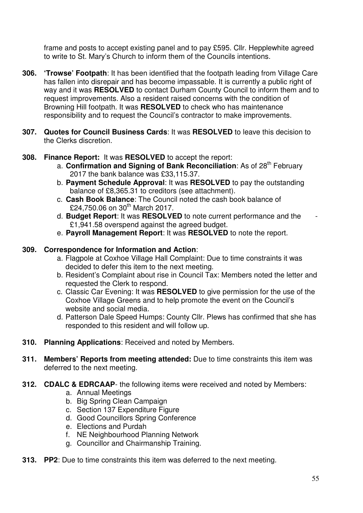frame and posts to accept existing panel and to pay £595. Cllr. Hepplewhite agreed to write to St. Mary's Church to inform them of the Councils intentions.

- **306. 'Trowse' Footpath**: It has been identified that the footpath leading from Village Care has fallen into disrepair and has become impassable. It is currently a public right of way and it was **RESOLVED** to contact Durham County Council to inform them and to request improvements. Also a resident raised concerns with the condition of Browning Hill footpath. It was **RESOLVED** to check who has maintenance responsibility and to request the Council's contractor to make improvements.
- **307. Quotes for Council Business Cards**: It was **RESOLVED** to leave this decision to the Clerks discretion.
- **308. Finance Report:** It was **RESOLVED** to accept the report:
	- a. **Confirmation and Signing of Bank Reconciliation**: As of 28<sup>th</sup> February 2017 the bank balance was £33,115.37.
	- b. **Payment Schedule Approval**: It was **RESOLVED** to pay the outstanding balance of £8,365.31 to creditors (see attachment).
	- c. **Cash Book Balance**: The Council noted the cash book balance of £24,750.06 on  $30^{th}$  March 2017.
	- d. **Budget Report**: It was **RESOLVED** to note current performance and the £1,941.58 overspend against the agreed budget.
	- e. **Payroll Management Report**: It was **RESOLVED** to note the report.

## **309. Correspondence for Information and Action**:

- a. Flagpole at Coxhoe Village Hall Complaint: Due to time constraints it was decided to defer this item to the next meeting.
- b. Resident's Complaint about rise in Council Tax: Members noted the letter and requested the Clerk to respond.
- c. Classic Car Evening: It was **RESOLVED** to give permission for the use of the Coxhoe Village Greens and to help promote the event on the Council's website and social media.
- d. Patterson Dale Speed Humps: County Cllr. Plews has confirmed that she has responded to this resident and will follow up.
- **310. Planning Applications**: Received and noted by Members.
- **311. Members' Reports from meeting attended:** Due to time constraints this item was deferred to the next meeting.
- **312. CDALC & EDRCAAP** the following items were received and noted by Members:
	- a. Annual Meetings
	- b. Big Spring Clean Campaign
	- c. Section 137 Expenditure Figure
	- d. Good Councillors Spring Conference
	- e. Elections and Purdah
	- f. NE Neighbourhood Planning Network
	- g. Councillor and Chairmanship Training.
- **313. PP2**: Due to time constraints this item was deferred to the next meeting.